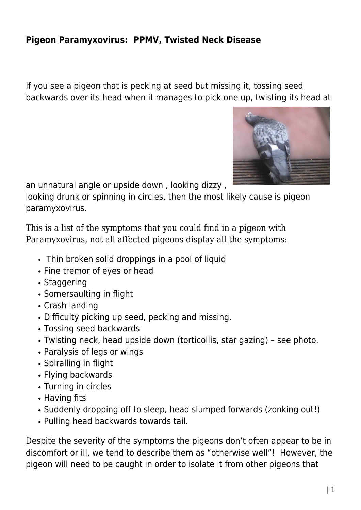## **Pigeon Paramyxovirus: PPMV, Twisted Neck Disease**

If you see a pigeon that is pecking at seed but missing it, tossing seed backwards over its head when it manages to pick one up, twisting its head at



an unnatural angle or upside down , looking dizzy ,

looking drunk or spinning in circles, then the most likely cause is pigeon paramyxovirus.

This is a list of the symptoms that you could find in a pigeon with Paramyxovirus, not all affected pigeons display all the symptoms:

- Thin broken solid droppings in a pool of liquid
- Fine tremor of eyes or head
- Staggering
- Somersaulting in flight
- Crash landing
- Difficulty picking up seed, pecking and missing.
- Tossing seed backwards
- Twisting neck, head upside down (torticollis, star gazing) see photo.
- Paralysis of legs or wings
- Spiralling in flight
- Flying backwards
- Turning in circles
- Having fits
- Suddenly dropping off to sleep, head slumped forwards (zonking out!)
- Pulling head backwards towards tail.

Despite the severity of the symptoms the pigeons don't often appear to be in discomfort or ill, we tend to describe them as "otherwise well"! However, the pigeon will need to be caught in order to isolate it from other pigeons that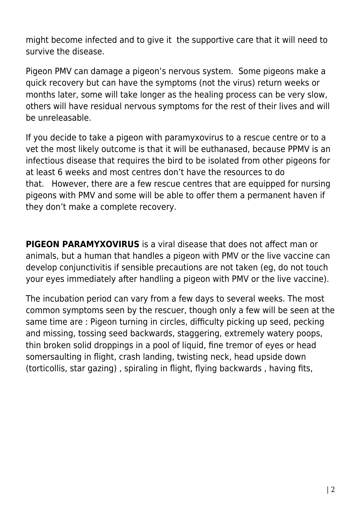might become infected and to give it the supportive care that it will need to survive the disease.

Pigeon PMV can damage a pigeon's nervous system. Some pigeons make a quick recovery but can have the symptoms (not the virus) return weeks or months later, some will take longer as the healing process can be very slow, others will have residual nervous symptoms for the rest of their lives and will be unreleasable.

If you decide to take a pigeon with paramyxovirus to a rescue centre or to a vet the most likely outcome is that it will be euthanased, because PPMV is an infectious disease that requires the bird to be isolated from other pigeons for at least 6 weeks and most centres don't have the resources to do that. However, there are a few rescue centres that are equipped for nursing pigeons with PMV and some will be able to offer them a permanent haven if they don't make a complete recovery.

**PIGEON PARAMYXOVIRUS** is a viral disease that does not affect man or animals, but a human that handles a pigeon with PMV or the live vaccine can develop conjunctivitis if sensible precautions are not taken (eg, do not touch your eyes immediately after handling a pigeon with PMV or the live vaccine).

The incubation period can vary from a few days to several weeks. The most common symptoms seen by the rescuer, though only a few will be seen at the same time are : Pigeon turning in circles, difficulty picking up seed, pecking and missing, tossing seed backwards, staggering, extremely watery poops, thin broken solid droppings in a pool of liquid, fine tremor of eyes or head somersaulting in flight, crash landing, twisting neck, head upside down (torticollis, star gazing) , spiraling in flight, flying backwards , having fits,